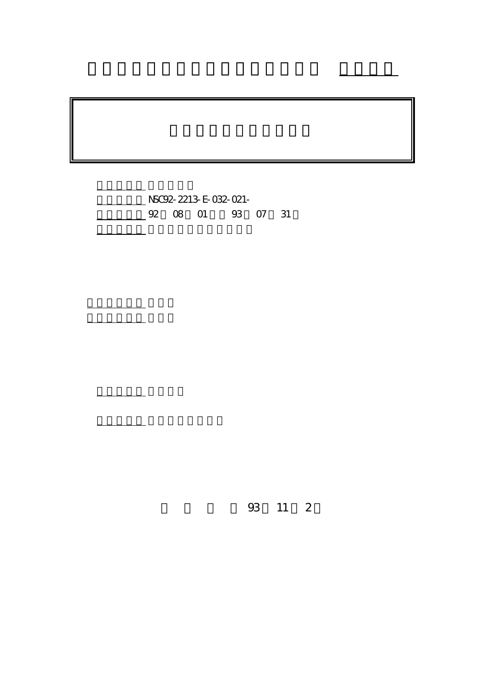計畫編號: NSC92-2213-E-032-021- 02 08 01 93 07 31

計畫主持人: 林慧珍

부분 <u>사용 시설 시설 시설</u>

報告類型: 精簡報告

。<br>在前書 : 本計畫可公開查

行政院國家科學委員會專題研究計畫 成果報告

93 11 2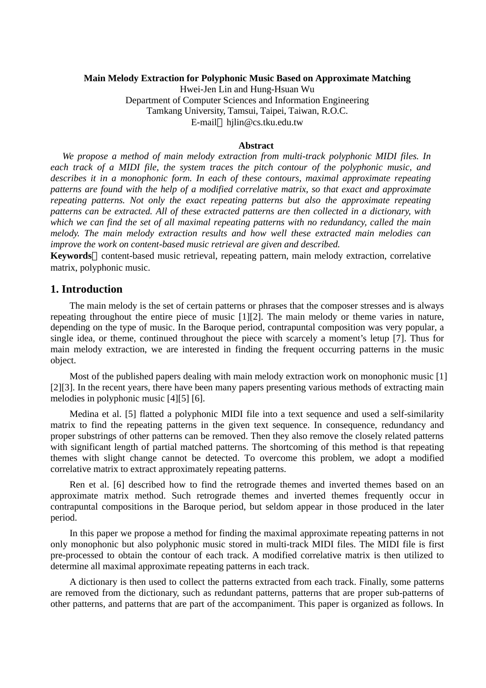### **Main Melody Extraction for Polyphonic Music Based on Approximate Matching**

Hwei-Jen Lin and Hung-Hsuan Wu Department of Computer Sciences and Information Engineering Tamkang University, Tamsui, Taipei, Taiwan, R.O.C. E-mail hjlin@cs.tku.edu.tw

#### **Abstract**

*We propose a method of main melody extraction from multi-track polyphonic MIDI files. In each track of a MIDI file, the system traces the pitch contour of the polyphonic music, and describes it in a monophonic form. In each of these contours, maximal approximate repeating patterns are found with the help of a modified correlative matrix, so that exact and approximate repeating patterns. Not only the exact repeating patterns but also the approximate repeating patterns can be extracted. All of these extracted patterns are then collected in a dictionary, with which we can find the set of all maximal repeating patterns with no redundancy, called the main melody. The main melody extraction results and how well these extracted main melodies can improve the work on content-based music retrieval are given and described.* 

**Keywords** content-based music retrieval, repeating pattern, main melody extraction, correlative matrix, polyphonic music.

## **1. Introduction**

The main melody is the set of certain patterns or phrases that the composer stresses and is always repeating throughout the entire piece of music [1][2]. The main melody or theme varies in nature, depending on the type of music. In the Baroque period, contrapuntal composition was very popular, a single idea, or theme, continued throughout the piece with scarcely a moment's letup [7]. Thus for main melody extraction, we are interested in finding the frequent occurring patterns in the music object.

Most of the published papers dealing with main melody extraction work on monophonic music [1] [2][3]. In the recent years, there have been many papers presenting various methods of extracting main melodies in polyphonic music [4][5] [6].

Medina et al. [5] flatted a polyphonic MIDI file into a text sequence and used a self-similarity matrix to find the repeating patterns in the given text sequence. In consequence, redundancy and proper substrings of other patterns can be removed. Then they also remove the closely related patterns with significant length of partial matched patterns. The shortcoming of this method is that repeating themes with slight change cannot be detected. To overcome this problem, we adopt a modified correlative matrix to extract approximately repeating patterns.

Ren et al. [6] described how to find the retrograde themes and inverted themes based on an approximate matrix method. Such retrograde themes and inverted themes frequently occur in contrapuntal compositions in the Baroque period, but seldom appear in those produced in the later period.

In this paper we propose a method for finding the maximal approximate repeating patterns in not only monophonic but also polyphonic music stored in multi-track MIDI files. The MIDI file is first pre-processed to obtain the contour of each track. A modified correlative matrix is then utilized to determine all maximal approximate repeating patterns in each track.

A dictionary is then used to collect the patterns extracted from each track. Finally, some patterns are removed from the dictionary, such as redundant patterns, patterns that are proper sub-patterns of other patterns, and patterns that are part of the accompaniment. This paper is organized as follows. In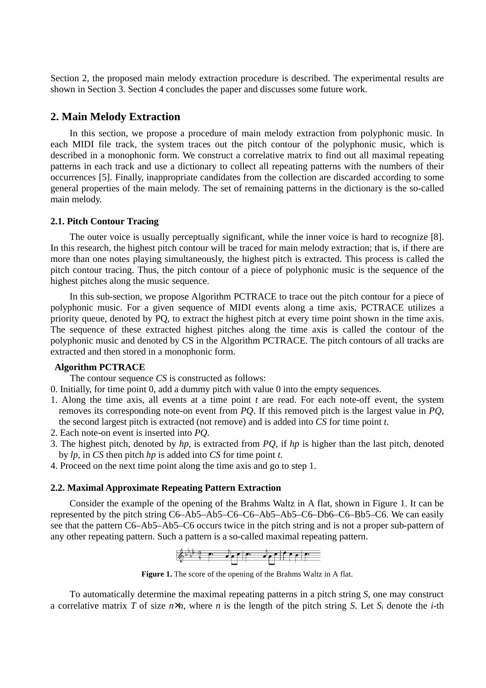Section 2, the proposed main melody extraction procedure is described. The experimental results are shown in Section 3. Section 4 concludes the paper and discusses some future work.

## **2. Main Melody Extraction**

In this section, we propose a procedure of main melody extraction from polyphonic music. In each MIDI file track, the system traces out the pitch contour of the polyphonic music, which is described in a monophonic form. We construct a correlative matrix to find out all maximal repeating patterns in each track and use a dictionary to collect all repeating patterns with the numbers of their occurrences [5]. Finally, inappropriate candidates from the collection are discarded according to some general properties of the main melody. The set of remaining patterns in the dictionary is the so-called main melody.

#### **2.1. Pitch Contour Tracing**

The outer voice is usually perceptually significant, while the inner voice is hard to recognize [8]. In this research, the highest pitch contour will be traced for main melody extraction; that is, if there are more than one notes playing simultaneously, the highest pitch is extracted. This process is called the pitch contour tracing. Thus, the pitch contour of a piece of polyphonic music is the sequence of the highest pitches along the music sequence.

In this sub-section, we propose Algorithm PCTRACE to trace out the pitch contour for a piece of polyphonic music. For a given sequence of MIDI events along a time axis, PCTRACE utilizes a priority queue, denoted by PQ, to extract the highest pitch at every time point shown in the time axis. The sequence of these extracted highest pitches along the time axis is called the contour of the polyphonic music and denoted by CS in the Algorithm PCTRACE. The pitch contours of all tracks are extracted and then stored in a monophonic form.

### **Algorithm PCTRACE**

The contour sequence *CS* is constructed as follows:

- 0. Initially, for time point 0, add a dummy pitch with value 0 into the empty sequences.
- 1. Along the time axis, all events at a time point *t* are read. For each note-off event, the system removes its corresponding note-on event from *PQ*. If this removed pitch is the largest value in *PQ*, the second largest pitch is extracted (not remove) and is added into *CS* for time point *t*.
- 2. Each note-on event is inserted into *PQ*.
- 3. The highest pitch, denoted by *hp*, is extracted from *PQ*, if *hp* is higher than the last pitch, denoted by *lp*, in *CS* then pitch *hp* is added into *CS* for time point *t*.
- 4. Proceed on the next time point along the time axis and go to step 1.

#### **2.2. Maximal Approximate Repeating Pattern Extraction**

Consider the example of the opening of the Brahms Waltz in A flat, shown in Figure 1. It can be represented by the pitch string C6–Ab5–Ab5–C6–C6–Ab5–Ab5–C6–Db6–C6–Bb5–C6. We can easily see that the pattern C6–Ab5–Ab5–C6 occurs twice in the pitch string and is not a proper sub-pattern of any other repeating pattern. Such a pattern is a so-called maximal repeating pattern.



**Figure 1.** The score of the opening of the Brahms Waltz in A flat.

To automatically determine the maximal repeating patterns in a pitch string *S*, one may construct a correlative matrix *T* of size  $n \times n$ , where *n* is the length of the pitch string *S*. Let  $S_i$  denote the *i*-th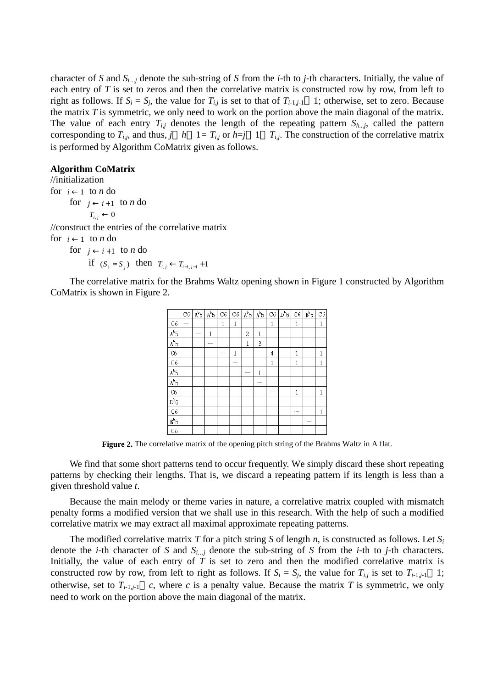character of *S* and  $S_{i...i}$  denote the sub-string of *S* from the *i*-th to *j*-th characters. Initially, the value of each entry of *T* is set to zeros and then the correlative matrix is constructed row by row, from left to right as follows. If  $S_i = S_j$ , the value for  $T_{i,j}$  is set to that of  $T_{i-1,j-1}$  1; otherwise, set to zero. Because the matrix *T* is symmetric, we only need to work on the portion above the main diagonal of the matrix. The value of each entry  $T_{i,j}$  denotes the length of the repeating pattern  $S_{h,j}$ , called the pattern corresponding to  $T_{i,j}$ , and thus,  $j \quad h \quad 1 = T_{i,j}$  or  $h = j \quad 1 \quad T_{i,j}$ . The construction of the correlative matrix is performed by Algorithm CoMatrix given as follows.

### **Algorithm CoMatrix**

//initialization for  $i \leftarrow 1$  to *n* do for  $j \leftarrow i+1$  to *n* do  $T_{i,j} \leftarrow 0$ //construct the entries of the correlative matrix for  $i \leftarrow 1$  to *n* do for  $j \leftarrow i+1$  to *n* do *i* **f**  $(S_i = S_j)$  **then**  $T_{i,j}$  ←  $T_{i-1,j-1}$  +1

The correlative matrix for the Brahms Waltz opening shown in Figure 1 constructed by Algorithm CoMatrix is shown in Figure 2.

|                  | C6 | $A^{b}5$ | $A^{b}5$ | C6 | C6 | $A^{b}5$                 | $A^{b}5$ | C6 | $\mathbb{D}^b$ 6 | C6  | B <sup>b</sup> 5 | C6 |
|------------------|----|----------|----------|----|----|--------------------------|----------|----|------------------|-----|------------------|----|
| C6               |    |          |          | 1  | 1  |                          |          | 1  |                  | 1   |                  | 1  |
| $A^{b}5$         |    | $-$      | 1        |    |    | 2                        | 1        |    |                  |     |                  |    |
| $A^{b}5$         |    |          |          |    |    | 1                        | 3        |    |                  |     |                  |    |
| C <sub>6</sub>   |    |          |          |    | 1  |                          |          | 4  |                  | 1   |                  | 1  |
| C6               |    |          |          |    |    |                          |          | 1  |                  | 1   |                  |    |
| $A^{b}5$         |    |          |          |    |    | $\overline{\phantom{a}}$ | 1        |    |                  |     |                  |    |
| $A^{b}5$         |    |          |          |    |    |                          | --       |    |                  |     |                  |    |
| C <sub>6</sub>   |    |          |          |    |    |                          |          |    |                  | 1   |                  | 1  |
| $D^{b}6$         |    |          |          |    |    |                          |          |    |                  |     |                  |    |
| C6               |    |          |          |    |    |                          |          |    |                  | $-$ |                  | 1  |
| B <sup>b</sup> 5 |    |          |          |    |    |                          |          |    |                  |     |                  |    |
| C6               |    |          |          |    |    |                          |          |    |                  |     |                  |    |

**Figure 2.** The correlative matrix of the opening pitch string of the Brahms Waltz in A flat.

We find that some short patterns tend to occur frequently. We simply discard these short repeating patterns by checking their lengths. That is, we discard a repeating pattern if its length is less than a given threshold value *t*.

Because the main melody or theme varies in nature, a correlative matrix coupled with mismatch penalty forms a modified version that we shall use in this research. With the help of such a modified correlative matrix we may extract all maximal approximate repeating patterns.

The modified correlative matrix *T* for a pitch string *S* of length *n*, is constructed as follows. Let  $S_i$ denote the *i*-th character of *S* and  $S_{i...j}$  denote the sub-string of *S* from the *i*-th to *j*-th characters. Initially, the value of each entry of *T* is set to zero and then the modified correlative matrix is constructed row by row, from left to right as follows. If  $S_i = S_j$ , the value for  $T_{i,j}$  is set to  $T_{i-1,j-1}$  1; otherwise, set to  $T_{i-1,i-1}$  *c*, where *c* is a penalty value. Because the matrix *T* is symmetric, we only need to work on the portion above the main diagonal of the matrix.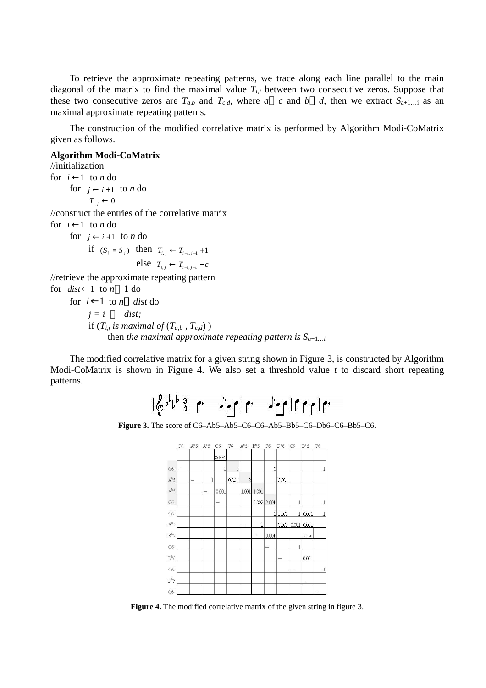To retrieve the approximate repeating patterns, we trace along each line parallel to the main diagonal of the matrix to find the maximal value  $T_{i,j}$  between two consecutive zeros. Suppose that these two consecutive zeros are  $T_{a,b}$  and  $T_{c,d}$ , where *a c* and *b d*, then we extract  $S_{a+1...i}$  as an maximal approximate repeating patterns.

The construction of the modified correlative matrix is performed by Algorithm Modi-CoMatrix given as follows.

#### **Algorithm Modi-CoMatrix**

//initialization for  $i \leftarrow 1$  to *n* do for  $j \leftarrow i+1$  to *n* do  $T_{i,j} \leftarrow 0$ //construct the entries of the correlative matrix for  $i \leftarrow 1$  to *n* do for  $i \leftarrow i+1$  to *n* do *i* **f**  $(S_i = S_j)$  **then**  $T_{i,j}$  ←  $T_{i-1,j-1}$  +1 else  $T_{i,i} \leftarrow T_{i-1,i-1} - c$ //retrieve the approximate repeating pattern for  $dist \leftarrow 1$  to  $n \neq 1$  do for  $i \leftarrow 1$  to *n* dist do *j = i dist;* if  $(T_{i,j}$  *is maximal of*  $(T_{a,b}, T_{c,d})$ *)* 

then *the maximal approximate repeating pattern is*  $S_{a+1...i}$ 

The modified correlative matrix for a given string shown in Figure 3, is constructed by Algorithm Modi-CoMatrix is shown in Figure 4. We also set a threshold value *t* to discard short repeating patterns.



**Figure 3.** The score of C6–Ab5–Ab5–C6–C6–Ab5–Bb5–C6–Db6–C6–Bb5–C6.



**Figure 4.** The modified correlative matrix of the given string in figure 3.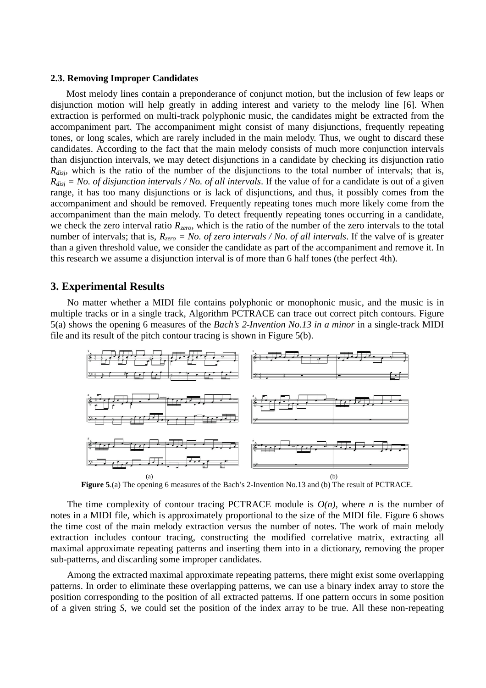#### **2.3. Removing Improper Candidates**

Most melody lines contain a preponderance of conjunct motion, but the inclusion of few leaps or disjunction motion will help greatly in adding interest and variety to the melody line [6]. When extraction is performed on multi-track polyphonic music, the candidates might be extracted from the accompaniment part. The accompaniment might consist of many disjunctions, frequently repeating tones, or long scales, which are rarely included in the main melody. Thus, we ought to discard these candidates. According to the fact that the main melody consists of much more conjunction intervals than disjunction intervals, we may detect disjunctions in a candidate by checking its disjunction ratio *Rdisj*, which is the ratio of the number of the disjunctions to the total number of intervals; that is, *Rdisj = No. of disjunction intervals / No. of all intervals*. If the value of for a candidate is out of a given range, it has too many disjunctions or is lack of disjunctions, and thus, it possibly comes from the accompaniment and should be removed. Frequently repeating tones much more likely come from the accompaniment than the main melody. To detect frequently repeating tones occurring in a candidate, we check the zero interval ratio *Rzero*, which is the ratio of the number of the zero intervals to the total number of intervals; that is,  $R_{zero} = No$ . of zero intervals / No. of all intervals. If the valve of is greater than a given threshold value, we consider the candidate as part of the accompaniment and remove it. In this research we assume a disjunction interval is of more than 6 half tones (the perfect 4th).

### **3. Experimental Results**

No matter whether a MIDI file contains polyphonic or monophonic music, and the music is in multiple tracks or in a single track, Algorithm PCTRACE can trace out correct pitch contours. Figure 5(a) shows the opening 6 measures of the *Bach's 2-Invention No.13 in a minor* in a single-track MIDI file and its result of the pitch contour tracing is shown in Figure 5(b).



**Figure 5**.(a) The opening 6 measures of the Bach's 2-Invention No.13 and (b) The result of PCTRACE.

The time complexity of contour tracing PCTRACE module is  $O(n)$ , where *n* is the number of notes in a MIDI file, which is approximately proportional to the size of the MIDI file. Figure 6 shows the time cost of the main melody extraction versus the number of notes. The work of main melody extraction includes contour tracing, constructing the modified correlative matrix, extracting all maximal approximate repeating patterns and inserting them into in a dictionary, removing the proper sub-patterns, and discarding some improper candidates.

Among the extracted maximal approximate repeating patterns, there might exist some overlapping patterns. In order to eliminate these overlapping patterns, we can use a binary index array to store the position corresponding to the position of all extracted patterns. If one pattern occurs in some position of a given string *S*, we could set the position of the index array to be true. All these non-repeating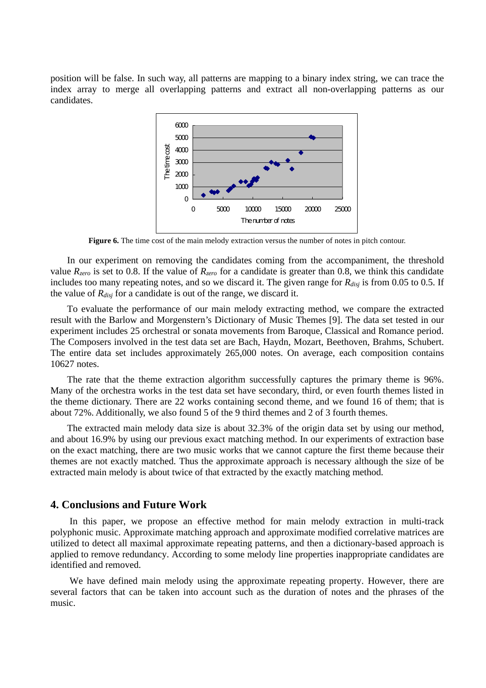position will be false. In such way, all patterns are mapping to a binary index string, we can trace the index array to merge all overlapping patterns and extract all non-overlapping patterns as our candidates.



**Figure 6.** The time cost of the main melody extraction versus the number of notes in pitch contour.

In our experiment on removing the candidates coming from the accompaniment, the threshold value  $R_{zero}$  is set to 0.8. If the value of  $R_{zero}$  for a candidate is greater than 0.8, we think this candidate includes too many repeating notes, and so we discard it. The given range for *Rdisj* is from 0.05 to 0.5. If the value of *Rdisj* for a candidate is out of the range, we discard it.

To evaluate the performance of our main melody extracting method, we compare the extracted result with the Barlow and Morgenstern's Dictionary of Music Themes [9]. The data set tested in our experiment includes 25 orchestral or sonata movements from Baroque, Classical and Romance period. The Composers involved in the test data set are Bach, Haydn, Mozart, Beethoven, Brahms, Schubert. The entire data set includes approximately 265,000 notes. On average, each composition contains 10627 notes.

The rate that the theme extraction algorithm successfully captures the primary theme is 96%. Many of the orchestra works in the test data set have secondary, third, or even fourth themes listed in the theme dictionary. There are 22 works containing second theme, and we found 16 of them; that is about 72%. Additionally, we also found 5 of the 9 third themes and 2 of 3 fourth themes.

The extracted main melody data size is about 32.3% of the origin data set by using our method, and about 16.9% by using our previous exact matching method. In our experiments of extraction base on the exact matching, there are two music works that we cannot capture the first theme because their themes are not exactly matched. Thus the approximate approach is necessary although the size of be extracted main melody is about twice of that extracted by the exactly matching method.

# **4. Conclusions and Future Work**

In this paper, we propose an effective method for main melody extraction in multi-track polyphonic music. Approximate matching approach and approximate modified correlative matrices are utilized to detect all maximal approximate repeating patterns, and then a dictionary-based approach is applied to remove redundancy. According to some melody line properties inappropriate candidates are identified and removed.

We have defined main melody using the approximate repeating property. However, there are several factors that can be taken into account such as the duration of notes and the phrases of the music.